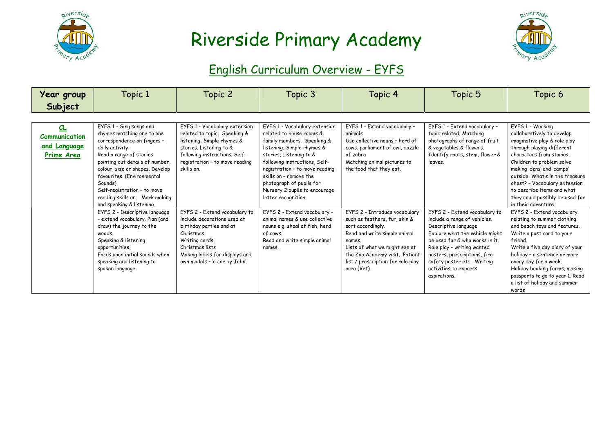



#### English Curriculum Overview - EYFS

| Year group<br>Subject                             | Topic 1                                                                                                                                                                                                                                                                                                                                                                                                                                                                                                                                                                                | Topic 2                                                                                                                                                                                                                                                                                                                                                                                                                  | Topic 3                                                                                                                                                                                                                                                                                                                                                                                                                                                                                    | Topic 4                                                                                                                                                                                                                                                                                                                                                                                                                                   | Topic 5                                                                                                                                                                                                                                                                                                                                                                                                                                                            | Topic 6                                                                                                                                                                                                                                                                                                                                                                                                                                                                                                                                                                                                                                                                                                    |
|---------------------------------------------------|----------------------------------------------------------------------------------------------------------------------------------------------------------------------------------------------------------------------------------------------------------------------------------------------------------------------------------------------------------------------------------------------------------------------------------------------------------------------------------------------------------------------------------------------------------------------------------------|--------------------------------------------------------------------------------------------------------------------------------------------------------------------------------------------------------------------------------------------------------------------------------------------------------------------------------------------------------------------------------------------------------------------------|--------------------------------------------------------------------------------------------------------------------------------------------------------------------------------------------------------------------------------------------------------------------------------------------------------------------------------------------------------------------------------------------------------------------------------------------------------------------------------------------|-------------------------------------------------------------------------------------------------------------------------------------------------------------------------------------------------------------------------------------------------------------------------------------------------------------------------------------------------------------------------------------------------------------------------------------------|--------------------------------------------------------------------------------------------------------------------------------------------------------------------------------------------------------------------------------------------------------------------------------------------------------------------------------------------------------------------------------------------------------------------------------------------------------------------|------------------------------------------------------------------------------------------------------------------------------------------------------------------------------------------------------------------------------------------------------------------------------------------------------------------------------------------------------------------------------------------------------------------------------------------------------------------------------------------------------------------------------------------------------------------------------------------------------------------------------------------------------------------------------------------------------------|
| CL<br>Communication<br>and Language<br>Prime Area | EYFS 1 - Sing songs and<br>rhymes matching one to one<br>correspondence on fingers -<br>daily activity.<br>Read a range of stories<br>pointing out details of number,<br>colour, size or shapes. Develop<br>favourites. (Environmental<br>Sounds).<br>Self-registration - to move<br>reading skills on. Mark making<br>and speaking & listening.<br>EYFS 2 - Descriptive language<br>- extend vocabulary. Plan (and<br>draw) the journey to the<br>woods.<br>Speaking & listening<br>opportunities.<br>Focus upon initial sounds when<br>speaking and listening to<br>spoken language. | EYFS 1 - Vocabulary extension<br>related to topic. Speaking &<br>listening, Simple rhymes &<br>stories, Listening to &<br>following instructions. Self-<br>registration - to move reading<br>skills on.<br>EYFS 2 - Extend vocabulary to<br>include decorations used at<br>birthday parties and at<br>Christmas.<br>Writing cards,<br>Christmas lists<br>Making labels for displays and<br>own models - 'a car by John'. | EYFS 1 - Vocabulary extension<br>related to house rooms &<br>family members. Speaking &<br>listening, Simple rhymes &<br>stories, Listening to &<br>following instructions, Self-<br>registration - to move reading<br>skills on - remove the<br>photograph of pupils for<br>Nursery 2 pupils to encourage<br>letter recognition.<br>EYFS 2 - Extend vocabulary -<br>animal names & use collective<br>nouns e.g. shoal of fish, herd<br>of cows.<br>Read and write simple animal<br>names. | EYFS 1 - Extend vocabulary -<br>animals<br>Use collective nouns - herd of<br>cows, parliament of owl, dazzle<br>of zebra<br>Matching animal pictures to<br>the food that they eat.<br>EYFS 2 - Introduce vocabulary<br>such as feathers, fur, skin &<br>sort accordingly.<br>Read and write simple animal<br>names.<br>Lists of what we might see at<br>the Zoo Academy visit. Patient<br>list / prescription for role play<br>area (Vet) | EYFS 1 - Extend vocabulary -<br>topic related, Matching<br>photographs of range of fruit<br>& vegetables & flowers.<br>Identify roots, stem, flower &<br>leaves.<br>EYFS 2 - Extend vocabulary to<br>include a range of vehicles.<br>Descriptive language<br>Explore what the vehicle might<br>be used for & who works in it.<br>Role play - writing wanted<br>posters, prescriptions, fire<br>safety poster etc. Writing<br>activities to express<br>aspirations. | EYFS 1 - Working<br>collaboratively to develop<br>imaginative play & role play<br>through playing different<br>characters from stories.<br>Children to problem solve<br>making 'dens' and 'camps'<br>outside. What's in the treasure<br>chest? - Vocabulary extension<br>to describe items and what<br>they could possibly be used for<br>in their adventure.<br>EYFS 2 - Extend vocabulary<br>relating to summer clothing<br>and beach toys and features.<br>Write a post card to your<br>friend.<br>Write a five day diary of your<br>holiday - a sentence or more<br>every day for a week.<br>Holiday booking forms, making<br>passports to go to year 1. Read<br>a list of holiday and summer<br>words |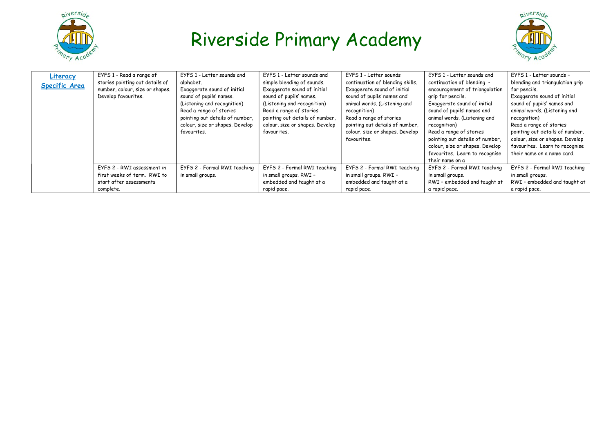



| Literacy<br><b>Specific Area</b> | EYFS 1 - Read a range of<br>stories pointing out details of<br>number, colour, size or shapes.<br>Develop favourites. | EYFS 1 - Letter sounds and<br>alphabet.<br>Exaggerate sound of initial<br>sound of pupils' names.<br>(Listening and recognition)<br>Read a range of stories<br>pointing out details of number,<br>colour, size or shapes. Develop<br>favourites. | EYFS 1 - Letter sounds and<br>simple blending of sounds.<br>Exaggerate sound of initial<br>sound of pupils' names.<br>(Listening and recognition)<br>Read a range of stories<br>pointing out details of number,<br>colour, size or shapes. Develop<br>favourites. | EYFS 1 - Letter sounds<br>continuation of blending skills.<br>Exaggerate sound of initial<br>sound of pupils' names and<br>animal words. (Listening and<br>recognition)<br>Read a range of stories<br>pointing out details of number,<br>colour, size or shapes. Develop<br>favourites. | EYFS 1 - Letter sounds and<br>continuation of blending -<br>encouragement of triangulation<br>grip for pencils.<br>Exaggerate sound of initial<br>sound of pupils' names and<br>animal words. (Listening and<br>recognition)<br>Read a range of stories<br>pointing out details of number,<br>colour, size or shapes. Develop<br>favourites. Learn to recognise<br>their name on a | EYFS 1 - Letter sounds -<br>blending and triangulation grip<br>for pencils.<br>Exaggerate sound of initial<br>sound of pupils' names and<br>animal words. (Listening and<br>recognition)<br>Read a range of stories<br>pointing out details of number.<br>colour, size or shapes. Develop<br>favourites. Learn to recognise<br>their name on a name card. |
|----------------------------------|-----------------------------------------------------------------------------------------------------------------------|--------------------------------------------------------------------------------------------------------------------------------------------------------------------------------------------------------------------------------------------------|-------------------------------------------------------------------------------------------------------------------------------------------------------------------------------------------------------------------------------------------------------------------|-----------------------------------------------------------------------------------------------------------------------------------------------------------------------------------------------------------------------------------------------------------------------------------------|------------------------------------------------------------------------------------------------------------------------------------------------------------------------------------------------------------------------------------------------------------------------------------------------------------------------------------------------------------------------------------|-----------------------------------------------------------------------------------------------------------------------------------------------------------------------------------------------------------------------------------------------------------------------------------------------------------------------------------------------------------|
|                                  | EYFS 2 - RWI assessment in<br>first weeks of term. RWI to<br>start after assessments<br>complete.                     | EYFS 2 - Formal RWI teaching<br>in small groups.                                                                                                                                                                                                 | EYFS 2 - Formal RWI teaching<br>in small groups. RWI -<br>embedded and taught at a<br>rapid pace.                                                                                                                                                                 | EYFS 2 - Formal RWI teaching<br>in small groups. RWI -<br>embedded and taught at a<br>rapid pace.                                                                                                                                                                                       | EYFS 2 - Formal RWI teaching<br>in small groups.<br>RWI - embedded and taught at<br>a rapid pace.                                                                                                                                                                                                                                                                                  | EYFS 2 - Formal RWI teaching<br>in small groups.<br>RWI - embedded and taught at<br>a rapid pace.                                                                                                                                                                                                                                                         |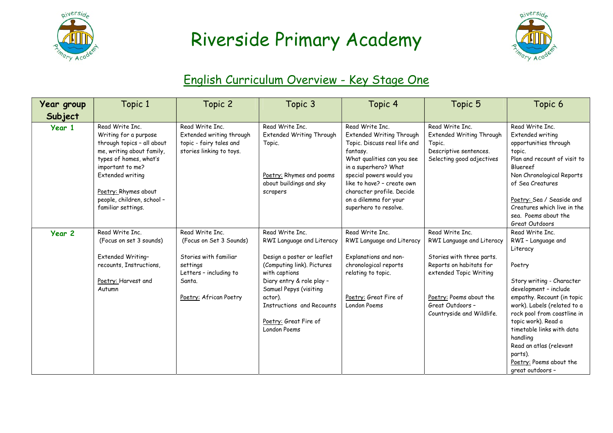



#### English Curriculum Overview - Key Stage One

| Year group | Topic 1                                                                                                                                                                                                                                           | Topic 2                                                                                                                                       | Topic 3                                                                                                                                                                                                                                                           | Topic 4                                                                                                                                                                                                                                                                                | Topic 5                                                                                                                                                                                                    | Topic 6                                                                                                                                                                                                                                                                                                                                                            |
|------------|---------------------------------------------------------------------------------------------------------------------------------------------------------------------------------------------------------------------------------------------------|-----------------------------------------------------------------------------------------------------------------------------------------------|-------------------------------------------------------------------------------------------------------------------------------------------------------------------------------------------------------------------------------------------------------------------|----------------------------------------------------------------------------------------------------------------------------------------------------------------------------------------------------------------------------------------------------------------------------------------|------------------------------------------------------------------------------------------------------------------------------------------------------------------------------------------------------------|--------------------------------------------------------------------------------------------------------------------------------------------------------------------------------------------------------------------------------------------------------------------------------------------------------------------------------------------------------------------|
| Subject    |                                                                                                                                                                                                                                                   |                                                                                                                                               |                                                                                                                                                                                                                                                                   |                                                                                                                                                                                                                                                                                        |                                                                                                                                                                                                            |                                                                                                                                                                                                                                                                                                                                                                    |
| Year 1     | Read Write Inc.<br>Writing for a purpose<br>through topics - all about<br>me, writing about family,<br>types of homes, what's<br>important to me?<br>Extended writing<br>Poetry: Rhymes about<br>people, children, school -<br>familiar settings. | Read Write Inc.<br>Extended writing through<br>topic - fairy tales and<br>stories linking to toys.                                            | Read Write Inc.<br>Extended Writing Through<br>Topic.<br>Poetry: Rhymes and poems<br>about buildings and sky<br>scrapers                                                                                                                                          | Read Write Inc.<br>Extended Writing Through<br>Topic. Discuss real life and<br>fantasy.<br>What qualities can you see<br>in a superhero? What<br>special powers would you<br>like to have? - create own<br>character profile. Decide<br>on a dilemma for your<br>superhero to resolve. | Read Write Inc.<br><b>Extended Writing Through</b><br>Topic.<br>Descriptive sentences.<br>Selecting good adjectives                                                                                        | Read Write Inc.<br>Extended writing<br>opportunities through<br>topic.<br>Plan and recount of visit to<br>Bluereef<br>Non Chronological Reports<br>of Sea Creatures<br>Poetry: Sea / Seaside and<br>Creatures which live in the<br>sea. Poems about the<br>Great Outdoors                                                                                          |
| Year 2     | Read Write Inc.<br>(Focus on set 3 sounds)<br>Extended Writing-<br>recounts, Instructions,<br>Poetry: Harvest and<br>Autumn                                                                                                                       | Read Write Inc.<br>(Focus on Set 3 Sounds)<br>Stories with familiar<br>settings<br>Letters - including to<br>Santa.<br>Poetry: African Poetry | Read Write Inc.<br>RWI Language and Literacy<br>Design a poster or leaflet<br>(Computing link). Pictures<br>with captions<br>Diary entry & role play -<br>Samuel Pepys (visiting<br>actor).<br>Instructions and Recounts<br>Poetry: Great Fire of<br>London Poems | Read Write Inc.<br>RWI Language and Literacy<br>Explanations and non-<br>chronological reports<br>relating to topic.<br>Poetry: Great Fire of<br>London Poems                                                                                                                          | Read Write Inc.<br>RWI Language and Literacy<br>Stories with three parts.<br>Reports on habitats for<br>extended Topic Writing<br>Poetry: Poems about the<br>Great Outdoors -<br>Countryside and Wildlife. | Read Write Inc.<br>RWI - Language and<br>Literacy<br>Poetry<br>Story writing - Character<br>development - include<br>empathy. Recount (in topic<br>work). Labels (related to a<br>rock pool from coastline in<br>topic work). Read a<br>timetable links with data<br>handling<br>Read an atlas (relevant<br>parts).<br>Poetry: Poems about the<br>great outdoors - |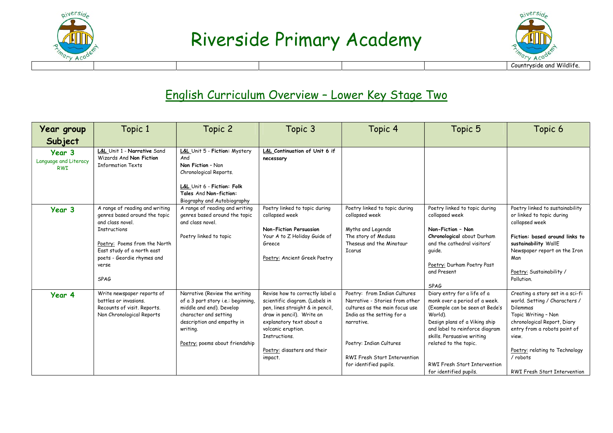



#### English Curriculum Overview – Lower Key Stage Two

| Year group                                    | Topic 1                                                                                                                                                                                                                        | Topic 2                                                                                                                                                                                              | Topic 3                                                                                                                                                                                                                                         | Topic 4                                                                                                                                                                                                                                  | Topic 5                                                                                                                                                                                                                                                                                              | Topic 6                                                                                                                                                                                                                                                    |
|-----------------------------------------------|--------------------------------------------------------------------------------------------------------------------------------------------------------------------------------------------------------------------------------|------------------------------------------------------------------------------------------------------------------------------------------------------------------------------------------------------|-------------------------------------------------------------------------------------------------------------------------------------------------------------------------------------------------------------------------------------------------|------------------------------------------------------------------------------------------------------------------------------------------------------------------------------------------------------------------------------------------|------------------------------------------------------------------------------------------------------------------------------------------------------------------------------------------------------------------------------------------------------------------------------------------------------|------------------------------------------------------------------------------------------------------------------------------------------------------------------------------------------------------------------------------------------------------------|
| Subject                                       |                                                                                                                                                                                                                                |                                                                                                                                                                                                      |                                                                                                                                                                                                                                                 |                                                                                                                                                                                                                                          |                                                                                                                                                                                                                                                                                                      |                                                                                                                                                                                                                                                            |
| Year 3<br>Language and Literacy<br><b>RWI</b> | L&L Unit 1 - Narrative Sand<br>Wizards And Non Fiction<br><b>Information Texts</b>                                                                                                                                             | L&L Unit 5 - Fiction: Mystery<br>And<br>Non Fiction - Non<br>Chronological Reports.<br>L&L Unit 6 - Fiction: Folk<br>Tales And Non-fiction:<br>Biography and Autobiography                           | L&L Continuation of Unit 6 if<br>necessary                                                                                                                                                                                                      |                                                                                                                                                                                                                                          |                                                                                                                                                                                                                                                                                                      |                                                                                                                                                                                                                                                            |
| Year 3                                        | A range of reading and writing<br>genres based around the topic<br>and class novel.<br><b>Instructions</b><br>Poetry: Poems from the North<br>East study of a north east<br>poets - Geordie rhymes and<br>verse<br><b>SPAG</b> | A range of reading and writing<br>genres based around the topic<br>and class novel.<br>Poetry linked to topic                                                                                        | Poetry linked to topic during<br>collapsed week<br><b>Non-Fiction Persuasion</b><br>Your A to Z Holiday Guide of<br>Greece<br>Poetry: Ancient Greek Poetry                                                                                      | Poetry linked to topic during<br>collapsed week<br>Myths and Legends<br>The story of Medusa<br>Theseus and the Minotaur<br><b>Icarus</b>                                                                                                 | Poetry linked to topic during<br>collapsed week<br>Non-Fiction - Non<br>Chronological about Durham<br>and the cathedral visitors'<br>quide.<br>Poetry: Durham Poetry Past<br>and Present<br><b>SPAG</b>                                                                                              | Poetry linked to sustainability<br>or linked to topic during<br>collapsed week<br>Fiction: based around links to<br>sustainability WallE<br>Newspaper report on the Iron<br>Man<br>Poetry: Sustainability /<br>Pollution.                                  |
| Year 4                                        | Write newspaper reports of<br>battles or invasions.<br>Recounts of visit. Reports.<br>Non Chronological Reports                                                                                                                | Narrative (Review the writing<br>of a 3 part story i.e.: beginning,<br>middle and end). Develop<br>character and setting<br>description and empathy in<br>writing.<br>Poetry: poems about friendship | Revise how to correctly label a<br>scientific diagram. (Labels in<br>pen, lines straight & in pencil,<br>draw in pencil). Write an<br>explanatory text about a<br>volcanic eruption.<br>Instructions.<br>Poetry: disasters and their<br>impact. | Poetry: from Indian Cultures<br>Narrative - Stories from other<br>cultures as the main focus use<br>India as the setting for a<br>narrative.<br>Poetry: Indian Cultures<br><b>RWI Fresh Start Intervention</b><br>for identified pupils. | Diary entry for a life of a<br>monk over a period of a week.<br>(Example can be seen at Bede's<br>World).<br>Design plans of a Viking ship<br>and label to reinforce diagram<br>skills. Persuasive writing<br>related to the topic.<br><b>RWI Fresh Start Intervention</b><br>for identified pupils. | Creating a story set in a sci-fi<br>world. Setting / Characters /<br>Dilemmas<br>Topic Writing - Non<br>chronological Report, Diary<br>entry from a robots point of<br>view.<br>Poetry: relating to Technology<br>/ robots<br>RWI Fresh Start Intervention |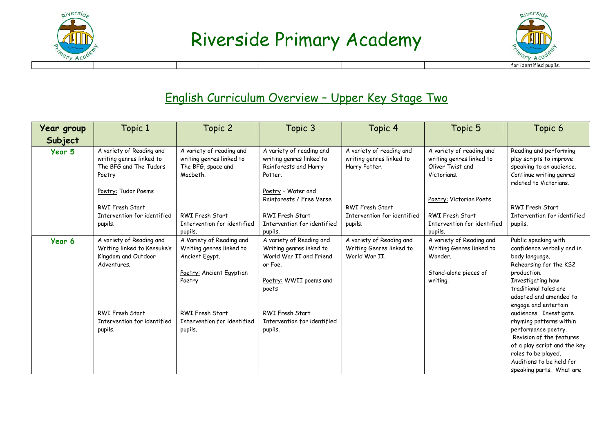



#### English Curriculum Overview – Upper Key Stage Two

| Year group | Topic 1                                                                                       | Topic 2                                                                                                      | Topic 3                                                                                                                      | Topic 4                                                               | Topic 5                                                                                              | Topic 6                                                                                                                                                                                                             |
|------------|-----------------------------------------------------------------------------------------------|--------------------------------------------------------------------------------------------------------------|------------------------------------------------------------------------------------------------------------------------------|-----------------------------------------------------------------------|------------------------------------------------------------------------------------------------------|---------------------------------------------------------------------------------------------------------------------------------------------------------------------------------------------------------------------|
| Subject    |                                                                                               |                                                                                                              |                                                                                                                              |                                                                       |                                                                                                      |                                                                                                                                                                                                                     |
| Year 5     | A variety of Reading and<br>writing genres linked to<br>The BFG and The Tudors<br>Poetry      | A variety of reading and<br>writing genres linked to<br>The BFG, space and<br>Macbeth.                       | A variety of reading and<br>writing genres linked to<br>Rainforests and Harry<br>Potter.                                     | A variety of reading and<br>writing genres linked to<br>Harry Potter. | A variety of reading and<br>writing genres linked to<br>Oliver Twist and<br>Victorians.              | Reading and performing<br>play scripts to improve<br>speaking to an audience.<br>Continue writing genres<br>related to Victorians.                                                                                  |
|            | Poetry: Tudor Poems<br><b>RWI Fresh Start</b><br>Intervention for identified<br>pupils.       | <b>RWI Fresh Start</b><br>Intervention for identified<br>pupils.                                             | Poetry - Water and<br>Rainforests / Free Verse<br>RWI Fresh Start<br>Intervention for identified<br>pupils.                  | <b>RWI Fresh Start</b><br>Intervention for identified<br>pupils.      | Poetry: Victorian Poets<br>RWI Fresh Start<br>Intervention for identified<br>pupils.                 | <b>RWI Fresh Start</b><br>Intervention for identified<br>pupils.                                                                                                                                                    |
| Year 6     | A variety of Reading and<br>Writing linked to Kensuke's<br>Kingdom and Outdoor<br>Adventures. | A Variety of Reading and<br>Writing genres linked to<br>Ancient Egypt.<br>Poetry: Ancient Egyptian<br>Poetry | A variety of Reading and<br>Writing genres inked to<br>World War II and Friend<br>or Foe.<br>Poetry: WWII poems and<br>poets | A variety of Reading and<br>Writing Genres linked to<br>World War II. | A variety of Reading and<br>Writing Genres linked to<br>Wonder.<br>Stand-alone pieces of<br>writing. | Public speaking with<br>confidence verbally and in<br>body language.<br>Rehearsing for the KS2<br>production.<br>Investigating how<br>traditional tales are<br>adapted and amended to<br>engage and entertain       |
|            | <b>RWI Fresh Start</b><br>Intervention for identified<br>pupils.                              | RWI Fresh Start<br>Intervention for identified<br>pupils.                                                    | RWI Fresh Start<br>Intervention for identified<br>pupils.                                                                    |                                                                       |                                                                                                      | audiences. Investigate<br>rhyming patterns within<br>performance poetry.<br>Revision of the features<br>of a play script and the key<br>roles to be played.<br>Auditions to be held for<br>speaking parts. What are |